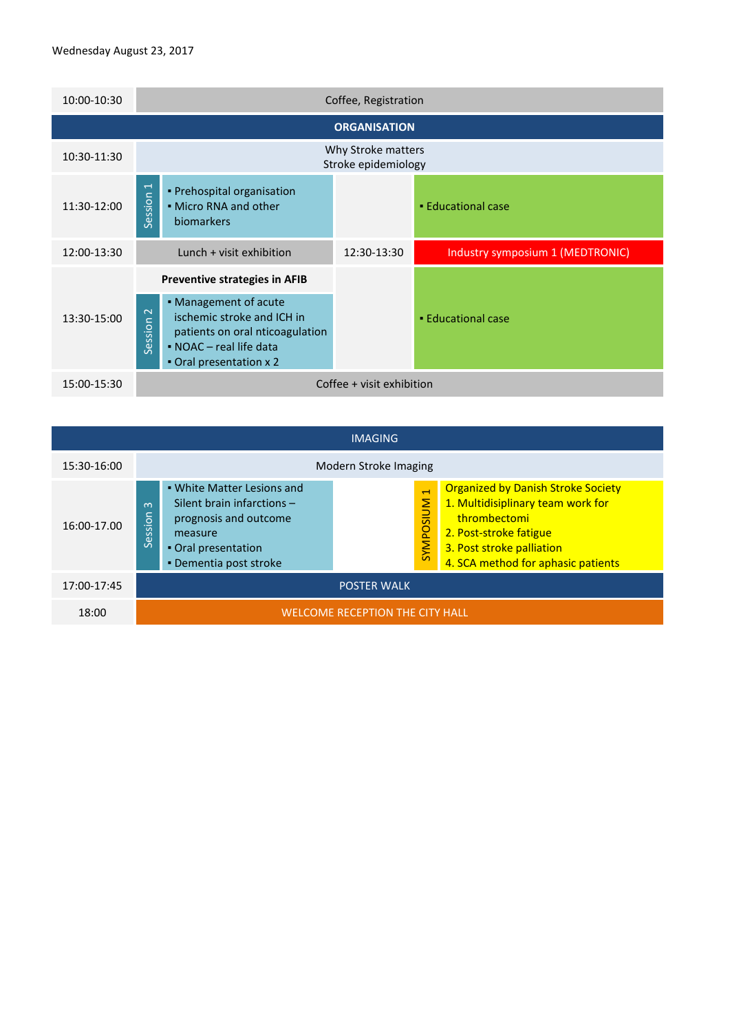| 10:00-10:30         | Coffee, Registration                                                                                                                                            |                                           |                                  |  |  |  |  |
|---------------------|-----------------------------------------------------------------------------------------------------------------------------------------------------------------|-------------------------------------------|----------------------------------|--|--|--|--|
| <b>ORGANISATION</b> |                                                                                                                                                                 |                                           |                                  |  |  |  |  |
| 10:30-11:30         |                                                                                                                                                                 | Why Stroke matters<br>Stroke epidemiology |                                  |  |  |  |  |
| 11:30-12:00         | $\overline{\phantom{0}}$<br>• Prehospital organisation<br>Session<br>• Micro RNA and other<br>biomarkers                                                        |                                           | • Educational case               |  |  |  |  |
|                     |                                                                                                                                                                 |                                           |                                  |  |  |  |  |
| 12:00-13:30         | Lunch + visit exhibition                                                                                                                                        | 12:30-13:30                               | Industry symposium 1 (MEDTRONIC) |  |  |  |  |
|                     | <b>Preventive strategies in AFIB</b>                                                                                                                            |                                           |                                  |  |  |  |  |
| 13:30-15:00         | • Management of acute<br>$\sim$<br>ischemic stroke and ICH in<br>Session<br>patients on oral nticoagulation<br>• NOAC - real life data<br>Oral presentation x 2 |                                           | • Educational case               |  |  |  |  |

| <b>IMAGING</b> |                                                                                                                                                                                                                                                                                                                                                                                                              |  |  |  |  |  |  |
|----------------|--------------------------------------------------------------------------------------------------------------------------------------------------------------------------------------------------------------------------------------------------------------------------------------------------------------------------------------------------------------------------------------------------------------|--|--|--|--|--|--|
| 15:30-16:00    | Modern Stroke Imaging                                                                                                                                                                                                                                                                                                                                                                                        |  |  |  |  |  |  |
| 16:00-17.00    | <b>Organized by Danish Stroke Society</b><br>• White Matter Lesions and<br>$\overline{ }$<br>1. Multidisiplinary team work for<br><b>NUISOdMAS</b><br>Silent brain infarctions -<br>ന<br>sion<br>thrombectomi<br>prognosis and outcome<br>2. Post-stroke fatigue<br>measure<br>မြိ<br>ιñ<br>3. Post stroke palliation<br>. Oral presentation<br>4. SCA method for aphasic patients<br>• Dementia post stroke |  |  |  |  |  |  |
| 17:00-17:45    | <b>POSTER WALK</b>                                                                                                                                                                                                                                                                                                                                                                                           |  |  |  |  |  |  |
| 18:00          | <b>WELCOME RECEPTION THE CITY HALL</b>                                                                                                                                                                                                                                                                                                                                                                       |  |  |  |  |  |  |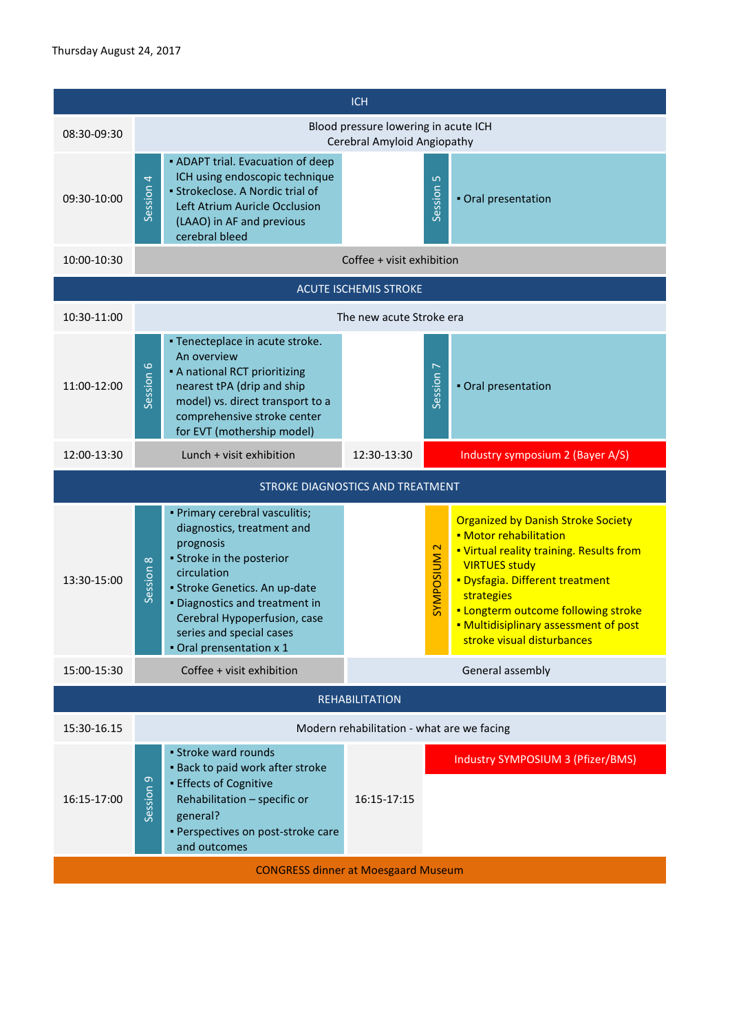|                                            | <b>ICH</b>                                                                                                                                                                                                                                                                                    |                                                                                                                                                                                                                                                                                                                                     |  |  |  |  |
|--------------------------------------------|-----------------------------------------------------------------------------------------------------------------------------------------------------------------------------------------------------------------------------------------------------------------------------------------------|-------------------------------------------------------------------------------------------------------------------------------------------------------------------------------------------------------------------------------------------------------------------------------------------------------------------------------------|--|--|--|--|
| 08:30-09:30                                | Blood pressure lowering in acute ICH<br>Cerebral Amyloid Angiopathy                                                                                                                                                                                                                           |                                                                                                                                                                                                                                                                                                                                     |  |  |  |  |
| 09:30-10:00                                | • ADAPT trial. Evacuation of deep<br>ICH using endoscopic technique<br>Session 4<br>· Strokeclose. A Nordic trial of<br>Left Atrium Auricle Occlusion<br>(LAAO) in AF and previous<br>cerebral bleed                                                                                          | $\overline{10}$<br>Session<br>. Oral presentation                                                                                                                                                                                                                                                                                   |  |  |  |  |
| 10:00-10:30                                |                                                                                                                                                                                                                                                                                               | Coffee + visit exhibition                                                                                                                                                                                                                                                                                                           |  |  |  |  |
|                                            | <b>ACUTE ISCHEMIS STROKE</b>                                                                                                                                                                                                                                                                  |                                                                                                                                                                                                                                                                                                                                     |  |  |  |  |
| 10:30-11:00                                |                                                                                                                                                                                                                                                                                               | The new acute Stroke era                                                                                                                                                                                                                                                                                                            |  |  |  |  |
| 11:00-12:00                                | • Tenecteplace in acute stroke.<br>An overview<br>Session 6<br>• A national RCT prioritizing<br>nearest tPA (drip and ship<br>model) vs. direct transport to a<br>comprehensive stroke center<br>for EVT (mothership model)                                                                   | Session <sub>7</sub><br>. Oral presentation                                                                                                                                                                                                                                                                                         |  |  |  |  |
| 12:00-13:30                                | Lunch + visit exhibition                                                                                                                                                                                                                                                                      | 12:30-13:30<br>Industry symposium 2 (Bayer A/S)                                                                                                                                                                                                                                                                                     |  |  |  |  |
|                                            | STROKE DIAGNOSTICS AND TREATMENT                                                                                                                                                                                                                                                              |                                                                                                                                                                                                                                                                                                                                     |  |  |  |  |
| 13:30-15:00                                | · Primary cerebral vasculitis;<br>diagnostics, treatment and<br>prognosis<br>• Stroke in the posterior<br>Session 8<br>circulation<br>· Stroke Genetics. An up-date<br>. Diagnostics and treatment in<br>Cerebral Hypoperfusion, case<br>series and special cases<br>. Oral prensentation x 1 | <b>Organized by Danish Stroke Society</b><br>• Motor rehabilitation<br><b>SYMPOSIUM 2</b><br>. Virtual reality training. Results from<br><b>VIRTUES study</b><br>· Dysfagia. Different treatment<br>strategies<br><b>- Longterm outcome following stroke</b><br>. Multidisiplinary assessment of post<br>stroke visual disturbances |  |  |  |  |
| 15:00-15:30                                | Coffee + visit exhibition                                                                                                                                                                                                                                                                     | General assembly                                                                                                                                                                                                                                                                                                                    |  |  |  |  |
| <b>REHABILITATION</b>                      |                                                                                                                                                                                                                                                                                               |                                                                                                                                                                                                                                                                                                                                     |  |  |  |  |
| 15:30-16.15                                |                                                                                                                                                                                                                                                                                               | Modern rehabilitation - what are we facing                                                                                                                                                                                                                                                                                          |  |  |  |  |
| 16:15-17:00                                | • Stroke ward rounds<br>. Back to paid work after stroke<br>Session <sub>9</sub><br><b>Effects of Cognitive</b><br>Rehabilitation - specific or<br>general?<br>· Perspectives on post-stroke care<br>and outcomes                                                                             | Industry SYMPOSIUM 3 (Pfizer/BMS)<br>16:15-17:15                                                                                                                                                                                                                                                                                    |  |  |  |  |
| <b>CONGRESS dinner at Moesgaard Museum</b> |                                                                                                                                                                                                                                                                                               |                                                                                                                                                                                                                                                                                                                                     |  |  |  |  |